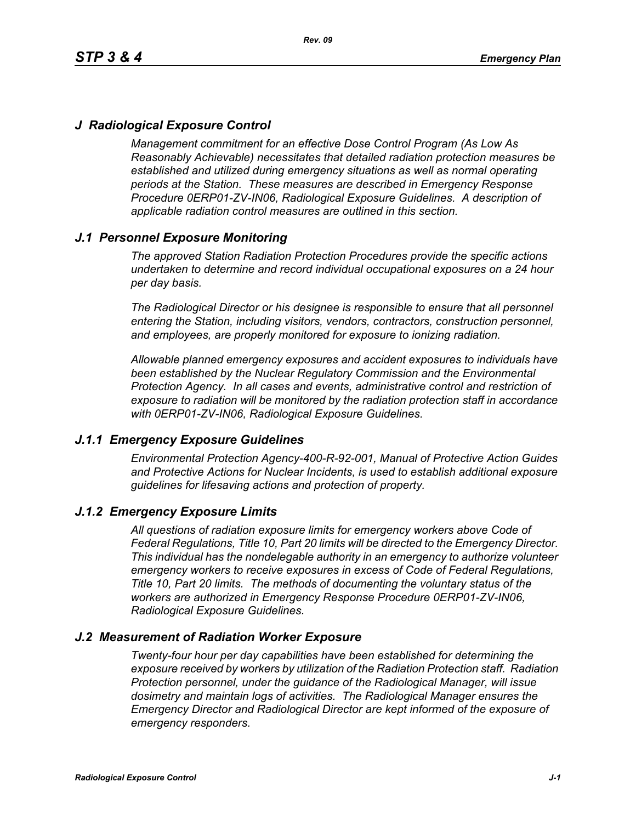# *J Radiological Exposure Control*

*Management commitment for an effective Dose Control Program (As Low As Reasonably Achievable) necessitates that detailed radiation protection measures be established and utilized during emergency situations as well as normal operating periods at the Station. These measures are described in Emergency Response Procedure 0ERP01-ZV-IN06, Radiological Exposure Guidelines. A description of applicable radiation control measures are outlined in this section.*

# *J.1 Personnel Exposure Monitoring*

*The approved Station Radiation Protection Procedures provide the specific actions undertaken to determine and record individual occupational exposures on a 24 hour per day basis.*

*The Radiological Director or his designee is responsible to ensure that all personnel entering the Station, including visitors, vendors, contractors, construction personnel, and employees, are properly monitored for exposure to ionizing radiation.*

*Allowable planned emergency exposures and accident exposures to individuals have been established by the Nuclear Regulatory Commission and the Environmental Protection Agency. In all cases and events, administrative control and restriction of exposure to radiation will be monitored by the radiation protection staff in accordance with 0ERP01-ZV-IN06, Radiological Exposure Guidelines.*

### *J.1.1 Emergency Exposure Guidelines*

*Environmental Protection Agency-400-R-92-001, Manual of Protective Action Guides and Protective Actions for Nuclear Incidents, is used to establish additional exposure guidelines for lifesaving actions and protection of property.*

### *J.1.2 Emergency Exposure Limits*

*All questions of radiation exposure limits for emergency workers above Code of Federal Regulations, Title 10, Part 20 limits will be directed to the Emergency Director. This individual has the nondelegable authority in an emergency to authorize volunteer emergency workers to receive exposures in excess of Code of Federal Regulations, Title 10, Part 20 limits. The methods of documenting the voluntary status of the workers are authorized in Emergency Response Procedure 0ERP01-ZV-IN06, Radiological Exposure Guidelines.*

### *J.2 Measurement of Radiation Worker Exposure*

*Twenty-four hour per day capabilities have been established for determining the exposure received by workers by utilization of the Radiation Protection staff. Radiation Protection personnel, under the guidance of the Radiological Manager, will issue dosimetry and maintain logs of activities. The Radiological Manager ensures the Emergency Director and Radiological Director are kept informed of the exposure of emergency responders.*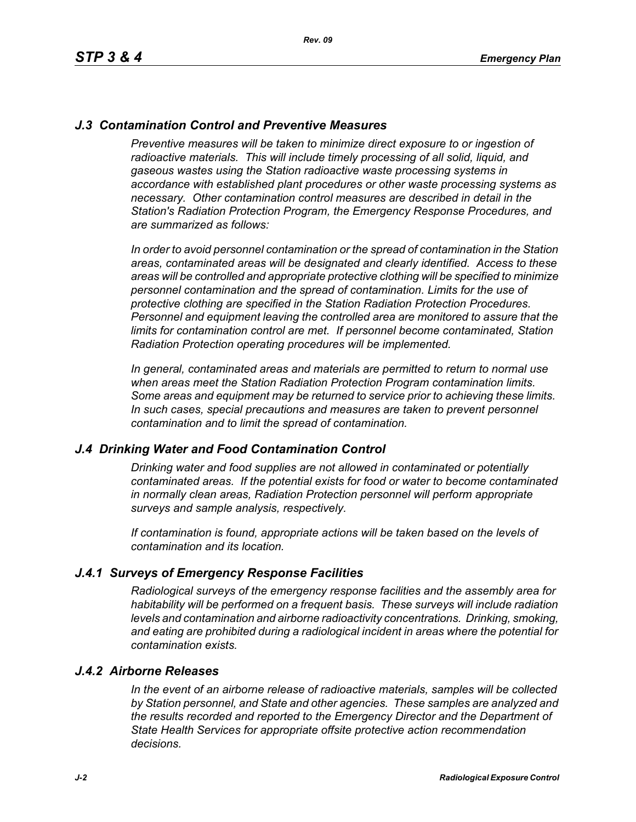# *J.3 Contamination Control and Preventive Measures*

*Preventive measures will be taken to minimize direct exposure to or ingestion of* radioactive materials. This will include timely processing of all solid, liquid, and *gaseous wastes using the Station radioactive waste processing systems in accordance with established plant procedures or other waste processing systems as necessary. Other contamination control measures are described in detail in the Station's Radiation Protection Program, the Emergency Response Procedures, and are summarized as follows:*

*In order to avoid personnel contamination or the spread of contamination in the Station areas, contaminated areas will be designated and clearly identified. Access to these areas will be controlled and appropriate protective clothing will be specified to minimize personnel contamination and the spread of contamination. Limits for the use of protective clothing are specified in the Station Radiation Protection Procedures. Personnel and equipment leaving the controlled area are monitored to assure that the limits for contamination control are met. If personnel become contaminated, Station Radiation Protection operating procedures will be implemented.* 

*In general, contaminated areas and materials are permitted to return to normal use when areas meet the Station Radiation Protection Program contamination limits. Some areas and equipment may be returned to service prior to achieving these limits. In such cases, special precautions and measures are taken to prevent personnel contamination and to limit the spread of contamination.*

### *J.4 Drinking Water and Food Contamination Control*

*Drinking water and food supplies are not allowed in contaminated or potentially contaminated areas. If the potential exists for food or water to become contaminated in normally clean areas, Radiation Protection personnel will perform appropriate surveys and sample analysis, respectively.*

*If contamination is found, appropriate actions will be taken based on the levels of contamination and its location.*

### *J.4.1 Surveys of Emergency Response Facilities*

*Radiological surveys of the emergency response facilities and the assembly area for habitability will be performed on a frequent basis. These surveys will include radiation levels and contamination and airborne radioactivity concentrations. Drinking, smoking, and eating are prohibited during a radiological incident in areas where the potential for contamination exists.*

#### *J.4.2 Airborne Releases*

*In the event of an airborne release of radioactive materials, samples will be collected by Station personnel, and State and other agencies. These samples are analyzed and the results recorded and reported to the Emergency Director and the Department of State Health Services for appropriate offsite protective action recommendation decisions.*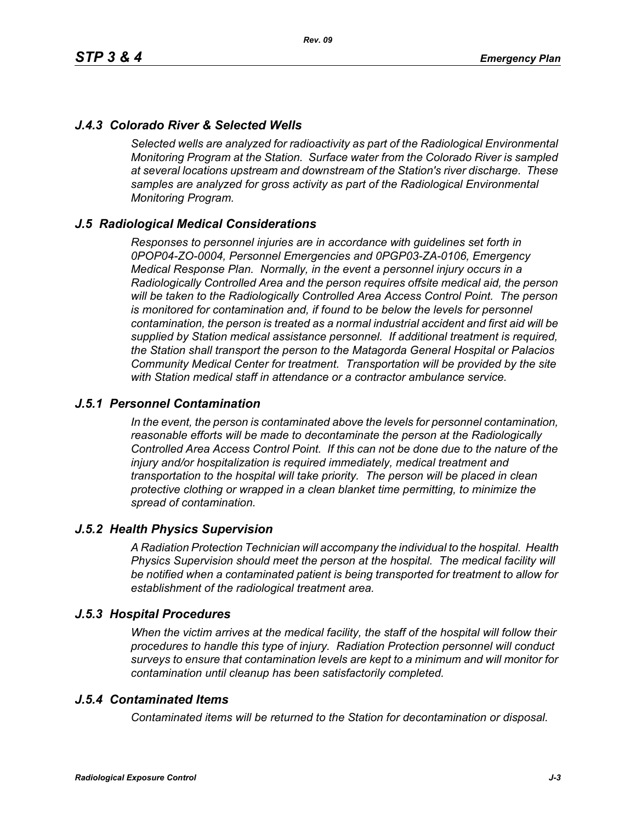# *J.4.3 Colorado River & Selected Wells*

*Selected wells are analyzed for radioactivity as part of the Radiological Environmental Monitoring Program at the Station. Surface water from the Colorado River is sampled at several locations upstream and downstream of the Station's river discharge. These samples are analyzed for gross activity as part of the Radiological Environmental Monitoring Program.*

### *J.5 Radiological Medical Considerations*

*Responses to personnel injuries are in accordance with guidelines set forth in 0POP04-ZO-0004, Personnel Emergencies and 0PGP03-ZA-0106, Emergency Medical Response Plan. Normally, in the event a personnel injury occurs in a Radiologically Controlled Area and the person requires offsite medical aid, the person will be taken to the Radiologically Controlled Area Access Control Point. The person is monitored for contamination and, if found to be below the levels for personnel contamination, the person is treated as a normal industrial accident and first aid will be supplied by Station medical assistance personnel. If additional treatment is required, the Station shall transport the person to the Matagorda General Hospital or Palacios Community Medical Center for treatment. Transportation will be provided by the site with Station medical staff in attendance or a contractor ambulance service.*

### *J.5.1 Personnel Contamination*

*In the event, the person is contaminated above the levels for personnel contamination, reasonable efforts will be made to decontaminate the person at the Radiologically Controlled Area Access Control Point. If this can not be done due to the nature of the injury and/or hospitalization is required immediately, medical treatment and transportation to the hospital will take priority. The person will be placed in clean protective clothing or wrapped in a clean blanket time permitting, to minimize the spread of contamination.*

### *J.5.2 Health Physics Supervision*

*A Radiation Protection Technician will accompany the individual to the hospital. Health Physics Supervision should meet the person at the hospital. The medical facility will be notified when a contaminated patient is being transported for treatment to allow for establishment of the radiological treatment area.*

### *J.5.3 Hospital Procedures*

*When the victim arrives at the medical facility, the staff of the hospital will follow their procedures to handle this type of injury. Radiation Protection personnel will conduct surveys to ensure that contamination levels are kept to a minimum and will monitor for contamination until cleanup has been satisfactorily completed.*

### *J.5.4 Contaminated Items*

*Contaminated items will be returned to the Station for decontamination or disposal.*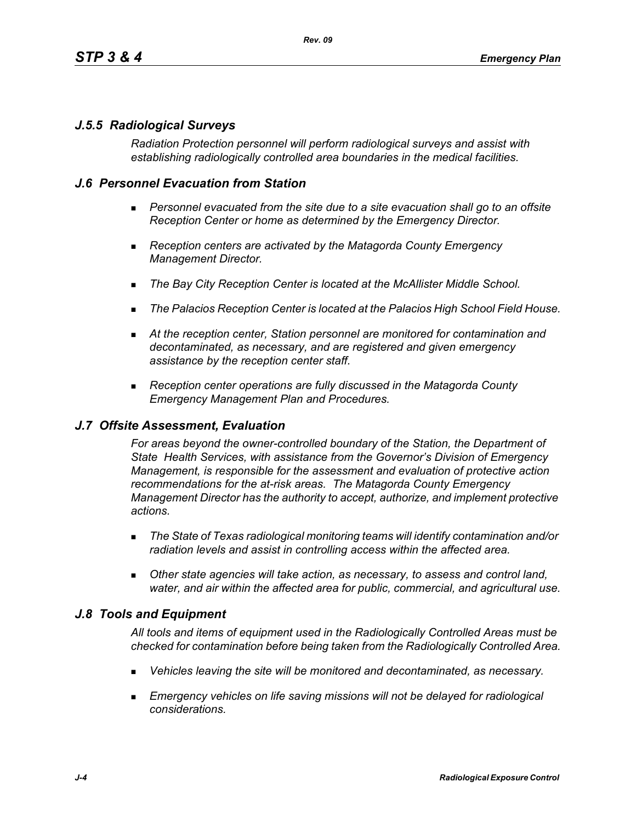# *J.5.5 Radiological Surveys*

*Radiation Protection personnel will perform radiological surveys and assist with establishing radiologically controlled area boundaries in the medical facilities.*

## *J.6 Personnel Evacuation from Station*

- **Personnel evacuated from the site due to a site evacuation shall go to an offsite** *Reception Center or home as determined by the Emergency Director.*
- *Reception centers are activated by the Matagorda County Emergency Management Director.*
- *The Bay City Reception Center is located at the McAllister Middle School.*
- *The Palacios Reception Center is located at the Palacios High School Field House.*
- *At the reception center, Station personnel are monitored for contamination and decontaminated, as necessary, and are registered and given emergency assistance by the reception center staff.*
- *Reception center operations are fully discussed in the Matagorda County Emergency Management Plan and Procedures.*

### *J.7 Offsite Assessment, Evaluation*

*For areas beyond the owner-controlled boundary of the Station, the Department of State Health Services, with assistance from the Governor's Division of Emergency Management, is responsible for the assessment and evaluation of protective action recommendations for the at-risk areas. The Matagorda County Emergency Management Director has the authority to accept, authorize, and implement protective actions.*

- *The State of Texas radiological monitoring teams will identify contamination and/or radiation levels and assist in controlling access within the affected area.*
- *Other state agencies will take action, as necessary, to assess and control land, water, and air within the affected area for public, commercial, and agricultural use.*

### *J.8 Tools and Equipment*

*All tools and items of equipment used in the Radiologically Controlled Areas must be checked for contamination before being taken from the Radiologically Controlled Area.*

- *Vehicles leaving the site will be monitored and decontaminated, as necessary.*
- **Emergency vehicles on life saving missions will not be delayed for radiological** *considerations.*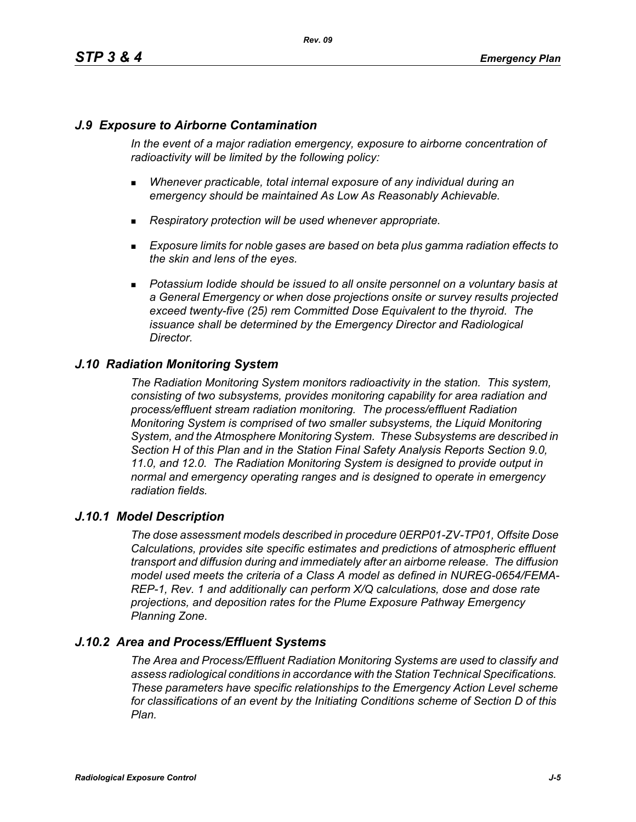# *J.9 Exposure to Airborne Contamination*

*In the event of a major radiation emergency, exposure to airborne concentration of radioactivity will be limited by the following policy:*

- *Whenever practicable, total internal exposure of any individual during an emergency should be maintained As Low As Reasonably Achievable.*
- *Respiratory protection will be used whenever appropriate.*
- *Exposure limits for noble gases are based on beta plus gamma radiation effects to the skin and lens of the eyes.*
- **Potassium Iodide should be issued to all onsite personnel on a voluntary basis at** *a General Emergency or when dose projections onsite or survey results projected exceed twenty-five (25) rem Committed Dose Equivalent to the thyroid. The issuance shall be determined by the Emergency Director and Radiological Director.*

# *J.10 Radiation Monitoring System*

*The Radiation Monitoring System monitors radioactivity in the station. This system, consisting of two subsystems, provides monitoring capability for area radiation and process/effluent stream radiation monitoring. The process/effluent Radiation Monitoring System is comprised of two smaller subsystems, the Liquid Monitoring System, and the Atmosphere Monitoring System. These Subsystems are described in Section H of this Plan and in the Station Final Safety Analysis Reports Section 9.0, 11.0, and 12.0. The Radiation Monitoring System is designed to provide output in normal and emergency operating ranges and is designed to operate in emergency radiation fields.*

### *J.10.1 Model Description*

*The dose assessment models described in procedure 0ERP01-ZV-TP01, Offsite Dose Calculations, provides site specific estimates and predictions of atmospheric effluent transport and diffusion during and immediately after an airborne release. The diffusion model used meets the criteria of a Class A model as defined in NUREG-0654/FEMA-REP-1, Rev. 1 and additionally can perform X/Q calculations, dose and dose rate projections, and deposition rates for the Plume Exposure Pathway Emergency Planning Zone.*

# *J.10.2 Area and Process/Effluent Systems*

*The Area and Process/Effluent Radiation Monitoring Systems are used to classify and assess radiological conditions in accordance with the Station Technical Specifications. These parameters have specific relationships to the Emergency Action Level scheme for classifications of an event by the Initiating Conditions scheme of Section D of this Plan.*